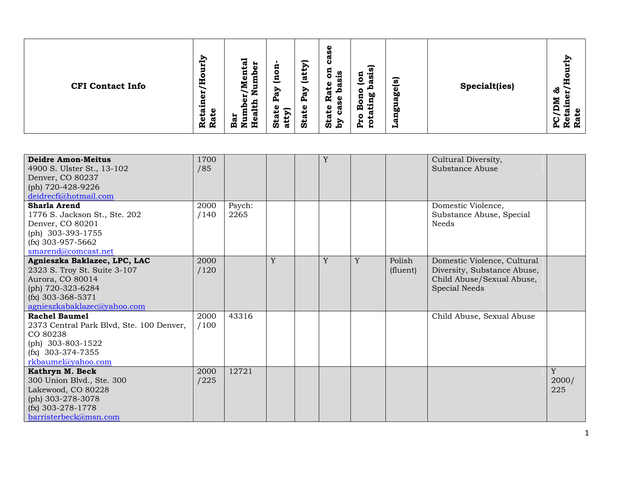| <b>Deidre Amon-Meitus</b><br>4900 S. Ulster St., 13-102<br>Denver, CO 80237<br>(ph) 720-428-9226<br>deidrecfi@hotmail.com                                   | 1700<br>/85  |                |   | Y |   |                    | Cultural Diversity,<br>Substance Abuse                                                                   |                   |
|-------------------------------------------------------------------------------------------------------------------------------------------------------------|--------------|----------------|---|---|---|--------------------|----------------------------------------------------------------------------------------------------------|-------------------|
| Sharla Arend<br>1776 S. Jackson St., Ste. 202<br>Denver, CO 80201<br>(ph) 303-393-1755<br>$(fx)$ 303-957-5662<br>smarend@comcast.net                        | 2000<br>/140 | Psych:<br>2265 |   |   |   |                    | Domestic Violence,<br>Substance Abuse, Special<br><b>Needs</b>                                           |                   |
| Agnieszka Baklazec, LPC, LAC<br>2323 S. Troy St. Suite 3-107<br>Aurora, CO 80014<br>(ph) 720-323-6284<br>$(fx)$ 303-368-5371<br>agnieszkabaklazec@yahoo.com | 2000<br>/120 |                | Y | Y | Y | Polish<br>(fluent) | Domestic Violence, Cultural<br>Diversity, Substance Abuse,<br>Child Abuse/Sexual Abuse,<br>Special Needs |                   |
| <b>Rachel Baumel</b><br>2373 Central Park Blvd, Ste. 100 Denver,<br>CO 80238<br>(ph) $303 - 803 - 1522$<br>$(fx)$ 303-374-7355<br>rkbaumel@yahoo.com        | 2000<br>/100 | 43316          |   |   |   |                    | Child Abuse, Sexual Abuse                                                                                |                   |
| Kathryn M. Beck<br>300 Union Blvd., Ste. 300<br>Lakewood, CO 80228<br>(ph) 303-278-3078<br>$(fx)$ 303-278-1778<br>barristerbeck@msn.com                     | 2000<br>/225 | 12721          |   |   |   |                    |                                                                                                          | Y<br>2000/<br>225 |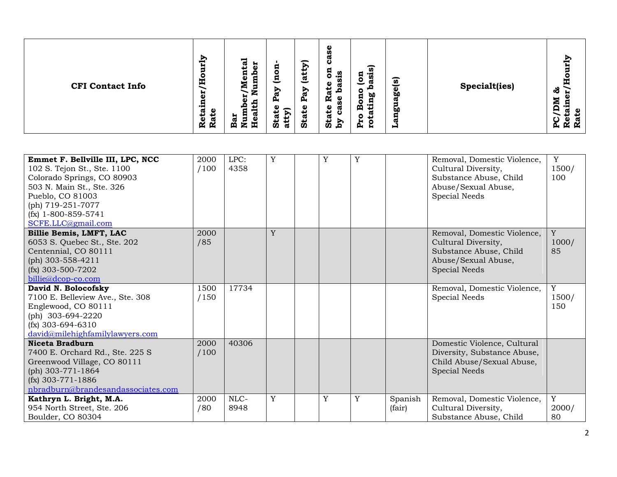| Emmet F. Bellville III, LPC, NCC<br>102 S. Tejon St., Ste. 1100<br>Colorado Springs, CO 80903<br>503 N. Main St., Ste. 326<br>Pueblo, CO 81003<br>(ph) 719-251-7077<br>$(fx)$ 1-800-859-5741<br>SCFE.LLC@gmail.com | 2000<br>/100 | LPC:<br>4358 | Y | $\mathbf Y$ | Y |                   | Removal, Domestic Violence,<br>Cultural Diversity,<br>Substance Abuse, Child<br>Abuse/Sexual Abuse,<br>Special Needs        | Y<br>1500/<br>100             |
|--------------------------------------------------------------------------------------------------------------------------------------------------------------------------------------------------------------------|--------------|--------------|---|-------------|---|-------------------|-----------------------------------------------------------------------------------------------------------------------------|-------------------------------|
| Billie Bemis, LMFT, LAC<br>6053 S. Quebec St., Ste. 202<br>Centennial, CO 80111<br>(ph) 303-558-4211<br>$(fx)$ 303-500-7202<br>billie@dcop-co.com                                                                  | 2000<br>/85  |              | Y |             |   |                   | Removal, Domestic Violence,<br>Cultural Diversity,<br>Substance Abuse, Child<br>Abuse/Sexual Abuse,<br><b>Special Needs</b> | Y<br>1000/<br>85              |
| David N. Bolocofsky<br>7100 E. Belleview Ave., Ste. 308<br>Englewood, CO 80111<br>(ph) $303-694-2220$<br>$(fx)$ 303-694-6310<br>david@milehighfamilylawyers.com                                                    | 1500<br>/150 | 17734        |   |             |   |                   | Removal, Domestic Violence,<br>Special Needs                                                                                | Y<br>1500/<br>150             |
| <b>Niceta Bradburn</b><br>7400 E. Orchard Rd., Ste. 225 S<br>Greenwood Village, CO 80111<br>(ph) 303-771-1864<br>$(fx)$ 303-771-1886<br>nbradburn@brandesandassociates.com                                         | 2000<br>/100 | 40306        |   |             |   |                   | Domestic Violence, Cultural<br>Diversity, Substance Abuse,<br>Child Abuse/Sexual Abuse,<br><b>Special Needs</b>             |                               |
| Kathryn L. Bright, M.A.<br>954 North Street, Ste. 206<br>Boulder, CO 80304                                                                                                                                         | 2000<br>/80  | NLC-<br>8948 | Y | Y           | Y | Spanish<br>(fair) | Removal, Domestic Violence,<br>Cultural Diversity,<br>Substance Abuse, Child                                                | $\overline{Y}$<br>2000/<br>80 |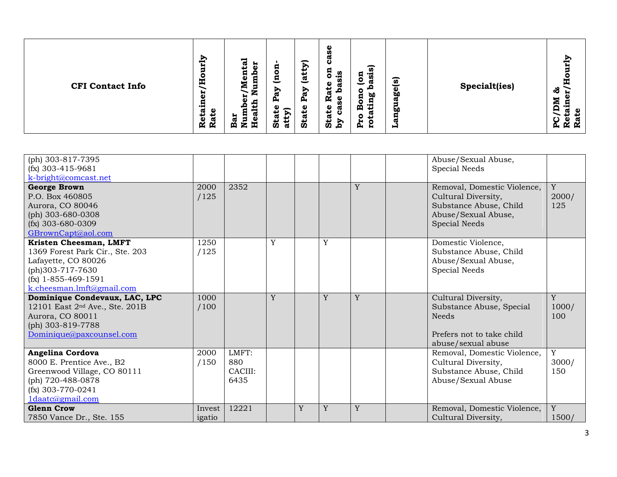| <b>CFI Contact Info</b> | ξĻ<br>ನ<br>н<br>ω<br>پ<br>п<br>-<br>٥<br>c<br>H<br>Ż<br>-<br>5<br>₩<br>z<br>٠.<br>Ã۱<br>ω<br>d<br>ο<br>ഁ<br>ω<br>с<br>Nun<br>پ<br>↵<br>ω<br>ä<br>$\mathbf 0$<br>ಡ<br>ഄ<br>Ñ<br>Ř<br>Ä<br>再 | ω<br>n,<br>σ<br>ပ<br>∽<br>B<br>Я<br>5<br>o<br>n<br>. .<br>트<br><u>ಡ</u><br>$\circ$<br>Φ<br>ℼ<br>↩<br>Ð<br>⊵<br>o<br>ಡ<br><u>ፎ</u><br>æ<br>Ñ<br>Φ<br>д,<br>ρ<br>Φ<br><b>State</b><br>ω<br>σ<br>atty)<br>↵<br><b>Stat</b><br>ပ<br>Sta<br>Σđ<br>р, | ัด<br>ີທີ<br>ัด<br>ä<br>Specialt(ies)<br>စ္လွ<br><b>b0</b><br>ᢍ<br>Φ<br><b>bo</b><br>ᢍ<br>O<br>Н<br>₩ | È<br>т<br>ಸೆ<br>. .<br>Š<br>_<br>$\mathbf{S}$<br>ω<br>Ŕ.<br>$\mathbf{\alpha}$ |
|-------------------------|--------------------------------------------------------------------------------------------------------------------------------------------------------------------------------------------|-------------------------------------------------------------------------------------------------------------------------------------------------------------------------------------------------------------------------------------------------|-------------------------------------------------------------------------------------------------------|-------------------------------------------------------------------------------|
|-------------------------|--------------------------------------------------------------------------------------------------------------------------------------------------------------------------------------------|-------------------------------------------------------------------------------------------------------------------------------------------------------------------------------------------------------------------------------------------------|-------------------------------------------------------------------------------------------------------|-------------------------------------------------------------------------------|

| (ph) 303-817-7395<br>$(fx)$ 303-415-9681<br>k-bright@comcast.net                                                                                           |                  |                                 |   |   |   |   | Abuse/Sexual Abuse,<br>Special Needs                                                                                 |                      |
|------------------------------------------------------------------------------------------------------------------------------------------------------------|------------------|---------------------------------|---|---|---|---|----------------------------------------------------------------------------------------------------------------------|----------------------|
| <b>George Brown</b><br>P.O. Box 460805<br>Aurora, CO 80046<br>(ph) 303-680-0308<br>$(fx)$ 303-680-0309<br>GBrownCapt@aol.com                               | 2000<br>/125     | 2352                            |   |   |   | Y | Removal, Domestic Violence,<br>Cultural Diversity,<br>Substance Abuse, Child<br>Abuse/Sexual Abuse,<br>Special Needs | Y<br>2000/<br>125    |
| Kristen Cheesman, LMFT<br>1369 Forest Park Cir., Ste. 203<br>Lafayette, CO 80026<br>(ph)303-717-7630<br>$(fx)$ 1-855-469-1591<br>k.cheesman.lmft@gmail.com | 1250<br>/125     |                                 | Y |   | Y |   | Domestic Violence,<br>Substance Abuse, Child<br>Abuse/Sexual Abuse,<br>Special Needs                                 |                      |
| Dominique Condevaux, LAC, LPC<br>12101 East 2 <sup>nd</sup> Ave., Ste. 201B<br>Aurora, CO 80011<br>(ph) 303-819-7788<br>Dominique@paxcounsel.com           | 1000<br>/100     |                                 | Y |   | Y | Y | Cultural Diversity,<br>Substance Abuse, Special<br><b>Needs</b><br>Prefers not to take child<br>abuse/sexual abuse   | Y<br>1000/<br>100    |
| Angelina Cordova<br>8000 E. Prentice Ave., B2<br>Greenwood Village, CO 80111<br>(ph) 720-488-0878<br>$(fx)$ 303-770-0241<br>1daatc@gmail.com               | 2000<br>/150     | LMFT:<br>880<br>CACIII:<br>6435 |   |   |   |   | Removal, Domestic Violence,<br>Cultural Diversity,<br>Substance Abuse, Child<br>Abuse/Sexual Abuse                   | Y<br>3000/<br>150    |
| <b>Glenn Crow</b><br>7850 Vance Dr., Ste. 155                                                                                                              | Invest<br>igatio | 12221                           |   | Y | Y | Y | Removal, Domestic Violence,<br>Cultural Diversity,                                                                   | $\mathbf Y$<br>1500/ |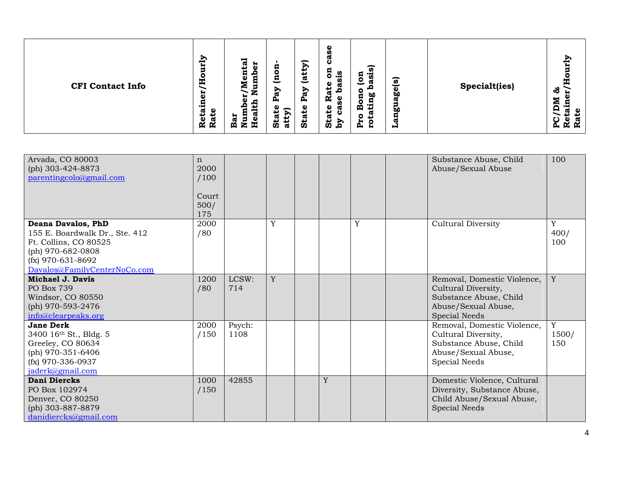| Arvada, CO 80003<br>(ph) 303-424-8873<br>parentingcolo@gmail.com                                                                                          | $\mathbf n$<br>2000<br>/100<br>Court<br>500/<br>175 |                |   |   |   | Substance Abuse, Child<br>Abuse/Sexual Abuse                                                                                | 100                         |
|-----------------------------------------------------------------------------------------------------------------------------------------------------------|-----------------------------------------------------|----------------|---|---|---|-----------------------------------------------------------------------------------------------------------------------------|-----------------------------|
| Deana Davalos, PhD<br>155 E. Boardwalk Dr., Ste. 412<br>Ft. Collins, CO 80525<br>(ph) 970-682-0808<br>$(fx)$ 970-631-8692<br>Davalos@FamilyCenterNoCo.com | 2000<br>/80                                         |                | Y |   | Y | <b>Cultural Diversity</b>                                                                                                   | Y<br>400/<br>100            |
| Michael J. Davis<br>PO Box 739<br>Windsor, CO 80550<br>(ph) 970-593-2476<br>info@clearpeaks.org                                                           | 1200<br>/80                                         | LCSW:<br>714   | Y |   |   | Removal, Domestic Violence,<br>Cultural Diversity,<br>Substance Abuse, Child<br>Abuse/Sexual Abuse,<br><b>Special Needs</b> | $\mathbf Y$                 |
| Jane Derk<br>3400 16th St., Bldg. 5<br>Greeley, CO 80634<br>(ph) 970-351-6406<br>$(fx)$ 970-336-0937<br>jaderk@gmail.com                                  | 2000<br>/150                                        | Psych:<br>1108 |   |   |   | Removal, Domestic Violence,<br>Cultural Diversity,<br>Substance Abuse, Child<br>Abuse/Sexual Abuse,<br>Special Needs        | $\mathbf Y$<br>1500/<br>150 |
| Dani Diercks<br>PO Box 102974<br>Denver, CO 80250<br>(ph) 303-887-8879<br>danidiercks@gmail.com                                                           | 1000<br>/150                                        | 42855          |   | Y |   | Domestic Violence, Cultural<br>Diversity, Substance Abuse,<br>Child Abuse/Sexual Abuse,<br>Special Needs                    |                             |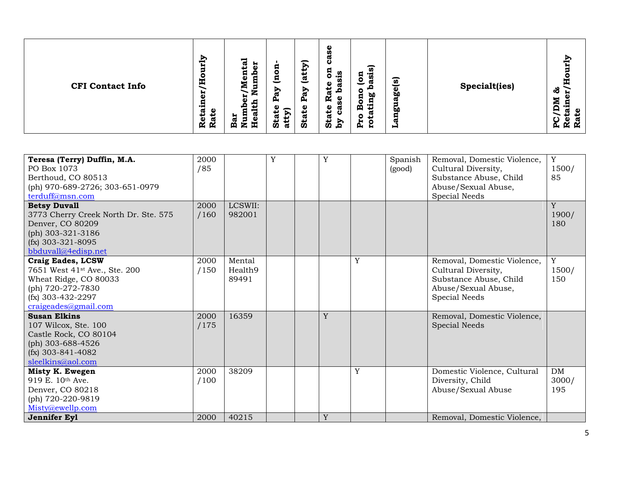| Teresa (Terry) Duffin, M.A.<br>PO Box 1073<br>Berthoud, CO 80513<br>(ph) 970-689-2726; 303-651-0979<br>terduff@msn.com                                             | 2000<br>/85  |                            | Y | $\mathbf Y$ |   | Spanish<br>(good) | Removal, Domestic Violence,<br>Cultural Diversity,<br>Substance Abuse, Child<br>Abuse/Sexual Abuse,<br>Special Needs | Y<br>1500/<br>85            |
|--------------------------------------------------------------------------------------------------------------------------------------------------------------------|--------------|----------------------------|---|-------------|---|-------------------|----------------------------------------------------------------------------------------------------------------------|-----------------------------|
| <b>Betsy Duvall</b><br>3773 Cherry Creek North Dr. Ste. 575<br>Denver, CO 80209<br>(ph) 303-321-3186<br>$(fx)$ 303-321-8095<br>bbduvall@4edisp.net                 | 2000<br>/160 | LCSWII:<br>982001          |   |             |   |                   |                                                                                                                      | Y<br>1900/<br>180           |
| <b>Craig Eades, LCSW</b><br>7651 West 41 <sup>st</sup> Ave., Ste. 200<br>Wheat Ridge, CO 80033<br>(ph) 720-272-7830<br>$(fx)$ 303-432-2297<br>craigeades@gmail.com | 2000<br>/150 | Mental<br>Health9<br>89491 |   |             | Y |                   | Removal, Domestic Violence,<br>Cultural Diversity,<br>Substance Abuse, Child<br>Abuse/Sexual Abuse,<br>Special Needs | $\mathbf Y$<br>1500/<br>150 |
| <b>Susan Elkins</b><br>107 Wilcox, Ste. 100<br>Castle Rock, CO 80104<br>(ph) 303-688-4526<br>$(fx)$ 303-841-4082<br>sleelkins@aol.com                              | 2000<br>/175 | 16359                      |   | Y           |   |                   | Removal, Domestic Violence,<br><b>Special Needs</b>                                                                  |                             |
| Misty K. Ewegen<br>919 E. 10th Ave.<br>Denver, CO 80218<br>(ph) 720-220-9819<br>Misty@ewellp.com                                                                   | 2000<br>/100 | 38209<br>40215             |   |             | Y |                   | Domestic Violence, Cultural<br>Diversity, Child<br>Abuse/Sexual Abuse                                                | <b>DM</b><br>3000/<br>195   |
| Jennifer Eyl                                                                                                                                                       | 2000         |                            |   | Y           |   |                   | Removal, Domestic Violence,                                                                                          |                             |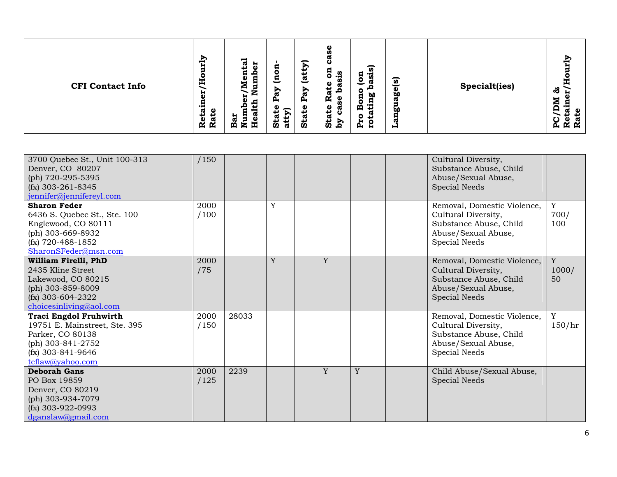| ξĻ<br>o<br>E<br><b>CFI Contact Info</b><br>븂<br>ω<br>ω<br>ىد<br>↵<br>$\mathbf{v}$<br>π<br>R<br>Ř | ನ<br>н<br>Я<br>نة<br>ت<br>o<br>п<br>-<br>트<br>ω<br>с<br>-<br>É<br>∍<br>Ð<br>ı<br>ω<br>д,<br>o<br>atty)<br>ω<br>ಡ<br>-<br>Bar<br>Ē,<br>ö<br>-89 | ω<br>n<br>σ<br>ة<br>∽<br>ัด<br>5<br>n<br>ಿದೆ<br><u>ಡ</u><br>ัด<br>ä<br>Φ<br>w<br>↩<br><b>go</b><br>⊵<br>-<br>ದ<br><b>b0</b><br><u>ፎ</u><br>Ñ<br>ω<br>œ<br>Φ<br>മ<br><b>State</b><br>ω<br>σ<br>ŌΟ<br>ப<br>ပ<br>Stat<br>Σđ<br>w<br>c<br>д,<br>н<br>н | č<br>π<br>Specialt(ies)<br>ಹೆ<br>≂<br>Բ<br>o<br>ပ္က<br>ĸ<br><b>K</b> |
|--------------------------------------------------------------------------------------------------|------------------------------------------------------------------------------------------------------------------------------------------------|----------------------------------------------------------------------------------------------------------------------------------------------------------------------------------------------------------------------------------------------------|----------------------------------------------------------------------|
|--------------------------------------------------------------------------------------------------|------------------------------------------------------------------------------------------------------------------------------------------------|----------------------------------------------------------------------------------------------------------------------------------------------------------------------------------------------------------------------------------------------------|----------------------------------------------------------------------|

| 3700 Quebec St., Unit 100-313<br>Denver, CO 80207<br>(ph) 720-295-5395<br>$(fx)$ 303-261-8345                                                                              | /150         |       |   |   |   | Cultural Diversity,<br>Substance Abuse, Child<br>Abuse/Sexual Abuse,<br>Special Needs                                |                  |
|----------------------------------------------------------------------------------------------------------------------------------------------------------------------------|--------------|-------|---|---|---|----------------------------------------------------------------------------------------------------------------------|------------------|
| jennifer@jennifereyl.com<br><b>Sharon Feder</b><br>6436 S. Quebec St., Ste. 100<br>Englewood, CO 80111<br>(ph) 303-669-8932<br>$(fx)$ 720-488-1852<br>SharonSFeder@msn.com | 2000<br>/100 |       | Y |   |   | Removal, Domestic Violence,<br>Cultural Diversity,<br>Substance Abuse, Child<br>Abuse/Sexual Abuse,<br>Special Needs | Y<br>700/<br>100 |
| William Firelli, PhD<br>2435 Kline Street<br>Lakewood, CO 80215<br>(ph) 303-859-8009<br>$(fx)$ 303-604-2322<br>choicesinliving@aol.com                                     | 2000<br>/75  |       | Y | Y |   | Removal, Domestic Violence,<br>Cultural Diversity,<br>Substance Abuse, Child<br>Abuse/Sexual Abuse,<br>Special Needs | Y<br>1000/<br>50 |
| <b>Traci Engdol Fruhwirth</b><br>19751 E. Mainstreet, Ste. 395<br>Parker, CO 80138<br>(ph) 303-841-2752<br>$(fx)$ 303-841-9646<br>teflaw@yahoo.com                         | 2000<br>/150 | 28033 |   |   |   | Removal, Domestic Violence,<br>Cultural Diversity,<br>Substance Abuse, Child<br>Abuse/Sexual Abuse,<br>Special Needs | Y<br>150/hr      |
| <b>Deborah Gans</b><br>PO Box 19859<br>Denver, CO 80219<br>(ph) 303-934-7079<br>$(fx)$ 303-922-0993<br>dganslaw@gmail.com                                                  | 2000<br>/125 | 2239  |   | Y | Y | Child Abuse/Sexual Abuse,<br>Special Needs                                                                           |                  |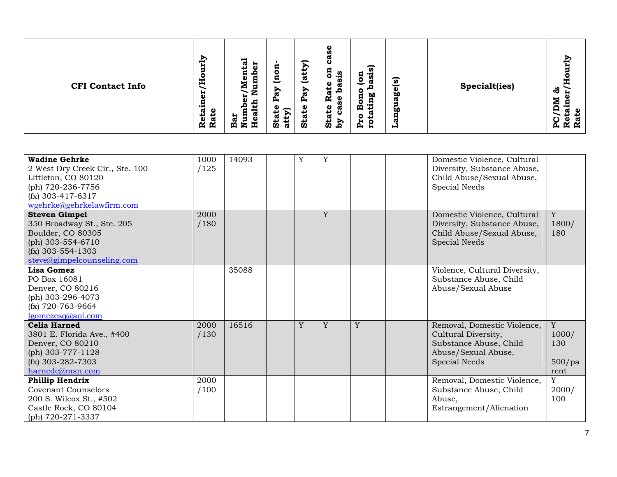| <b>CFI Contact Info</b> | ξ<br>ಸ<br>ω<br>پ<br>п<br>о<br>-<br>円<br>N<br>븂<br>z<br>-<br>ၿ<br>c<br>ω<br>с<br>پ<br>↵<br>ᢍ<br>Bar<br>Nur<br>٥<br>æ<br>R<br>Ř<br>呂 | ω<br>n<br>$\blacktriangleright$<br>ħ<br>5<br>U)<br><u>ತ</u><br>Я<br>$\overline{\phantom{0}}$<br>ω<br>α<br>⋗<br>α<br>ω<br>Ñ<br>Φ<br>А,<br>д<br>n<br>$\mathbf 0$<br>ω<br>ີ<br>atty)<br>پ<br>پ<br>ပ<br>ದ<br>Sta<br><b>Sta</b><br>ΰ<br>ζq | ัด<br>asi<br>Я<br>ัด<br>c<br><b>go</b><br>ೲ<br>w<br>Φ<br>Ă<br><b>bo</b><br>$\circ$<br>ω<br>c<br>д<br>⊣<br>₩ | <b>Specialt(ies)</b> | ΡĻ<br>æ<br>ಹೆ<br>5<br>Բ<br>മ<br>_<br>$\mathbf{S}$<br>ω<br>ᢍ<br>Ŕ.<br>$\mathbf{R}$ |
|-------------------------|------------------------------------------------------------------------------------------------------------------------------------|---------------------------------------------------------------------------------------------------------------------------------------------------------------------------------------------------------------------------------------|-------------------------------------------------------------------------------------------------------------|----------------------|-----------------------------------------------------------------------------------|
|-------------------------|------------------------------------------------------------------------------------------------------------------------------------|---------------------------------------------------------------------------------------------------------------------------------------------------------------------------------------------------------------------------------------|-------------------------------------------------------------------------------------------------------------|----------------------|-----------------------------------------------------------------------------------|

| <b>Wadine Gehrke</b><br>2 West Dry Creek Cir., Ste. 100<br>Littleton, CO 80120<br>(ph) 720-236-7756<br>$(fx)$ 303-417-6317<br>wgehrke@gehrkelawfirm.com | 1000<br>/125 | 14093 | Y | Y |   | Domestic Violence, Cultural<br>Diversity, Substance Abuse,<br>Child Abuse/Sexual Abuse,<br>Special Needs             |                                                  |
|---------------------------------------------------------------------------------------------------------------------------------------------------------|--------------|-------|---|---|---|----------------------------------------------------------------------------------------------------------------------|--------------------------------------------------|
| <b>Steven Gimpel</b><br>350 Broadway St., Ste. 205<br>Boulder, CO 80305<br>(ph) 303-554-6710<br>$(fx)$ 303-554-1303<br>steve@gimpelcounseling.com       | 2000<br>/180 |       |   | Y |   | Domestic Violence, Cultural<br>Diversity, Substance Abuse,<br>Child Abuse/Sexual Abuse,<br>Special Needs             | Y<br>1800/<br>180                                |
| Lisa Gomez<br>PO Box 16081<br>Denver, CO 80216<br>(ph) $303 - 296 - 4073$<br>$(fx)$ 720-763-9664<br>$lg$ omezesq $@$ aol.com                            |              | 35088 |   |   |   | Violence, Cultural Diversity,<br>Substance Abuse, Child<br>Abuse/Sexual Abuse                                        |                                                  |
| <b>Celia Harned</b><br>3801 E. Florida Ave., #400<br>Denver, CO 80210<br>(ph) $303 - 777 - 1128$<br>$(fx)$ 303-282-7303<br>harnedc@msn.com              | 2000<br>/130 | 16516 | Y | Y | Y | Removal, Domestic Violence,<br>Cultural Diversity,<br>Substance Abuse, Child<br>Abuse/Sexual Abuse,<br>Special Needs | $\mathbf Y$<br>1000/<br>130<br>$500$ /pa<br>rent |
| Phillip Hendrix<br><b>Covenant Counselors</b><br>200 S. Wilcox St., #502<br>Castle Rock, CO 80104<br>(ph) 720-271-3337                                  | 2000<br>/100 |       |   |   |   | Removal, Domestic Violence,<br>Substance Abuse, Child<br>Abuse,<br>Estrangement/Alienation                           | Y<br>2000/<br>100                                |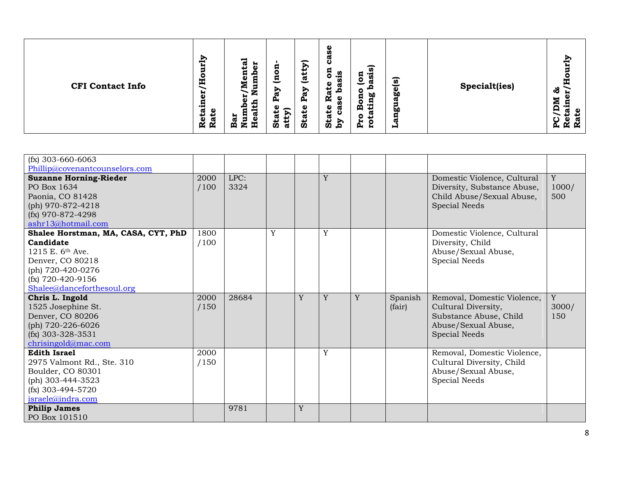| $(fx)$ 303-660-6063                 |      |       |   |   |   |   |         |                             |             |
|-------------------------------------|------|-------|---|---|---|---|---------|-----------------------------|-------------|
| Phillip@covenantcounselors.com      |      |       |   |   |   |   |         |                             |             |
| <b>Suzanne Horning-Rieder</b>       | 2000 | LPC:  |   |   | Y |   |         | Domestic Violence, Cultural | Y           |
| PO Box 1634                         | /100 | 3324  |   |   |   |   |         | Diversity, Substance Abuse, | 1000/       |
| Paonia, CO 81428                    |      |       |   |   |   |   |         | Child Abuse/Sexual Abuse,   | 500         |
| (ph) 970-872-4218                   |      |       |   |   |   |   |         | <b>Special Needs</b>        |             |
| $(fx)$ 970-872-4298                 |      |       |   |   |   |   |         |                             |             |
| ashr13@hotmail.com                  |      |       |   |   |   |   |         |                             |             |
| Shalee Horstman, MA, CASA, CYT, PhD | 1800 |       | Y |   | Y |   |         | Domestic Violence, Cultural |             |
| Candidate                           | /100 |       |   |   |   |   |         | Diversity, Child            |             |
| 1215 E. $6^{th}$ Ave.               |      |       |   |   |   |   |         | Abuse/Sexual Abuse,         |             |
| Denver, CO 80218                    |      |       |   |   |   |   |         | Special Needs               |             |
| (ph) 720-420-0276                   |      |       |   |   |   |   |         |                             |             |
| $(fx)$ 720-420-9156                 |      |       |   |   |   |   |         |                             |             |
| Shalee@danceforthesoul.org          |      |       |   |   |   |   |         |                             |             |
| Chris L. Ingold                     | 2000 | 28684 |   | Y | Y | Y | Spanish | Removal, Domestic Violence, | $\mathbf Y$ |
| 1525 Josephine St.                  | /150 |       |   |   |   |   | (fair)  | Cultural Diversity,         | 3000/       |
| Denver, CO 80206                    |      |       |   |   |   |   |         | Substance Abuse, Child      | 150         |
| (ph) 720-226-6026                   |      |       |   |   |   |   |         | Abuse/Sexual Abuse,         |             |
| $(fx)$ 303-328-3531                 |      |       |   |   |   |   |         | Special Needs               |             |
| chrisingold@mac.com                 |      |       |   |   |   |   |         |                             |             |
| <b>Edith Israel</b>                 | 2000 |       |   |   | Y |   |         | Removal, Domestic Violence, |             |
| 2975 Valmont Rd., Ste. 310          | /150 |       |   |   |   |   |         | Cultural Diversity, Child   |             |
| Boulder, CO 80301                   |      |       |   |   |   |   |         | Abuse/Sexual Abuse,         |             |
| (ph) 303-444-3523                   |      |       |   |   |   |   |         | Special Needs               |             |
| $(fx)$ 303-494-5720                 |      |       |   |   |   |   |         |                             |             |
| israele@indra.com                   |      |       |   |   |   |   |         |                             |             |
| <b>Philip James</b>                 |      | 9781  |   | Y |   |   |         |                             |             |
| PO Box 101510                       |      |       |   |   |   |   |         |                             |             |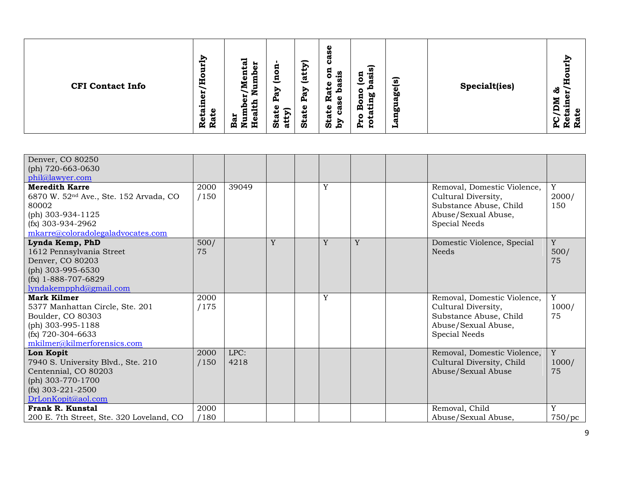| <b>CFI Contact Info</b> | ξĻ<br>ನ<br>н<br>ω<br>پ<br>п<br>Г<br>o<br>ω<br>с<br>Ě<br>Ż<br>-<br>-5<br>ដ<br>z<br>9<br>ల<br>с<br>ω<br>Bar<br>Nun<br>ö<br>پ<br>ω<br>ω<br>ℼ<br>Ñ<br>Ř<br>軎 | ω<br>n<br>ω<br>ల<br>↽<br>g<br>R<br>g<br>n<br>ட<br><u>ಡ</u><br>트<br>Φ<br>ω<br>↩<br>Ð<br>⋗<br>ದ<br>ℼ<br>ω<br>Ñ<br>$\mathbf{a}$<br>٥<br>д,<br>æ<br>ω<br>Φ<br>σ<br>$\mathbf{P}$<br>₩<br><b>Stat</b><br><b>Stat</b><br>Sta<br>Σđ<br>ੱਛ | ัด<br>۰۳<br>Ŵ<br>ัด<br>$\bullet$<br>ä<br>ω<br>Ō.<br><b>b0</b><br>ω<br>г<br>۰۳<br>ρ<br>پ<br>άO<br>w<br>o<br>р,<br>н<br>н | <b>Specialt(ies)</b> | ξĻ<br>යි<br>۰<br>╒<br>ω<br>ᢍ<br>ĸ<br>ĸ<br>А, |
|-------------------------|----------------------------------------------------------------------------------------------------------------------------------------------------------|-----------------------------------------------------------------------------------------------------------------------------------------------------------------------------------------------------------------------------------|-------------------------------------------------------------------------------------------------------------------------|----------------------|----------------------------------------------|
|-------------------------|----------------------------------------------------------------------------------------------------------------------------------------------------------|-----------------------------------------------------------------------------------------------------------------------------------------------------------------------------------------------------------------------------------|-------------------------------------------------------------------------------------------------------------------------|----------------------|----------------------------------------------|

| Denver, CO 80250                                   |      |       |   |   |   |                             |        |
|----------------------------------------------------|------|-------|---|---|---|-----------------------------|--------|
| (ph) 720-663-0630                                  |      |       |   |   |   |                             |        |
| phil@lawyer.com                                    |      |       |   |   |   |                             |        |
| <b>Meredith Karre</b>                              | 2000 | 39049 |   | Y |   | Removal, Domestic Violence, | Y      |
| 6870 W. 52 <sup>nd</sup> Ave., Ste. 152 Arvada, CO | /150 |       |   |   |   | Cultural Diversity,         | 2000/  |
| 80002                                              |      |       |   |   |   | Substance Abuse, Child      | 150    |
| (ph) 303-934-1125                                  |      |       |   |   |   | Abuse/Sexual Abuse,         |        |
| $(fx)$ 303-934-2962                                |      |       |   |   |   | Special Needs               |        |
| mkarre@coloradolegaladvocates.com                  |      |       |   |   |   |                             |        |
| Lynda Kemp, PhD                                    | 500/ |       | Y | Y | Y | Domestic Violence, Special  | Y      |
| 1612 Pennsylvania Street                           | 75   |       |   |   |   | <b>Needs</b>                | 500/   |
| Denver, CO 80203                                   |      |       |   |   |   |                             | 75     |
| (ph) 303-995-6530                                  |      |       |   |   |   |                             |        |
| $(fx)$ 1-888-707-6829                              |      |       |   |   |   |                             |        |
| lyndakempphd@gmail.com                             |      |       |   |   |   |                             |        |
| Mark Kilmer                                        | 2000 |       |   | Y |   | Removal, Domestic Violence, | Y      |
| 5377 Manhattan Circle, Ste. 201                    | /175 |       |   |   |   | Cultural Diversity,         | 1000/  |
| Boulder, CO 80303                                  |      |       |   |   |   | Substance Abuse, Child      | 75     |
| (ph) 303-995-1188                                  |      |       |   |   |   | Abuse/Sexual Abuse,         |        |
| $(fx)$ 720-304-6633                                |      |       |   |   |   | Special Needs               |        |
| mkilmer@kilmerforensics.com                        |      |       |   |   |   |                             |        |
| Lon Kopit                                          | 2000 | LPC:  |   |   |   | Removal, Domestic Violence, | Y      |
| 7940 S. University Blvd., Ste. 210                 | /150 | 4218  |   |   |   | Cultural Diversity, Child   | 1000/  |
| Centennial, CO 80203                               |      |       |   |   |   | Abuse/Sexual Abuse          | 75     |
| (ph) $303 - 770 - 1700$                            |      |       |   |   |   |                             |        |
| $(fx)$ 303-221-2500                                |      |       |   |   |   |                             |        |
| DrLonKopit@aol.com                                 |      |       |   |   |   |                             |        |
| Frank R. Kunstal                                   | 2000 |       |   |   |   | Removal, Child              | Y      |
| 200 E. 7th Street, Ste. 320 Loveland, CO           | /180 |       |   |   |   | Abuse/Sexual Abuse,         | 750/pc |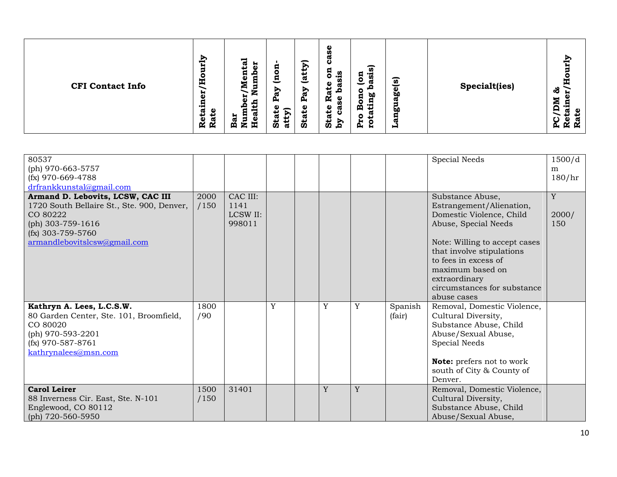| E<br><b>CFI Contact Info</b><br>Ř | ξĻ<br>ನ<br>÷.<br>Я<br>ω<br>پ<br>o<br>п<br>o<br>o<br>트<br>ω<br>c<br>Ź<br>-<br>-<br>Ð<br>븂<br>z<br>ω<br>д,<br>ω<br>e<br>₽<br>ഁ<br>ω<br>с<br>Bar<br>Nun<br>έ<br>↵<br>ω<br>Sta <sup>®</sup><br>ω<br>ದ<br>. .<br>R<br>再 | ω<br>n<br>σ<br>ల<br>∽<br>B<br>ัด<br>5<br>n<br>. .<br>ូន<br>ស<br>$\overline{\mathbf{a}}$<br>ಕೆ<br>π<br>⊵<br>o<br>ದ<br><b>b0</b><br><u>ፎ</u><br>Ñ<br>ပ္တ<br>Φ<br>ρ<br>ω<br><b>State</b><br>σ<br>চী<br>↵<br>ပ<br>Sta<br>Σđ<br>ੱਛ<br>O<br>р,<br>₩ | ัด<br><b>Specialt(ies)</b><br>စ္လွ<br>ᢍ<br><b>bo</b><br>w<br>н | т<br>ಸೆ<br>. .<br>e<br>_<br>ပ္က<br>ω<br>ĸ<br>$\mathbf{r}$ |
|-----------------------------------|--------------------------------------------------------------------------------------------------------------------------------------------------------------------------------------------------------------------|-----------------------------------------------------------------------------------------------------------------------------------------------------------------------------------------------------------------------------------------------|----------------------------------------------------------------|-----------------------------------------------------------|
|-----------------------------------|--------------------------------------------------------------------------------------------------------------------------------------------------------------------------------------------------------------------|-----------------------------------------------------------------------------------------------------------------------------------------------------------------------------------------------------------------------------------------------|----------------------------------------------------------------|-----------------------------------------------------------|

| 80537<br>(ph) 970-663-5757<br>$(fx)$ 970-669-4788<br>drfrankkunstal@gmail.com                                                                                           |              |                                        |   |   |   |                   | <b>Special Needs</b>                                                                                                                                                                                                                                                      | 1500/d<br>m<br>180/hr |
|-------------------------------------------------------------------------------------------------------------------------------------------------------------------------|--------------|----------------------------------------|---|---|---|-------------------|---------------------------------------------------------------------------------------------------------------------------------------------------------------------------------------------------------------------------------------------------------------------------|-----------------------|
| Armand D. Lebovits, LCSW, CAC III<br>1720 South Bellaire St., Ste. 900, Denver,<br>CO 80222<br>(ph) 303-759-1616<br>$(fx)$ 303-759-5760<br>armandlebovitslcsw@gmail.com | 2000<br>/150 | CAC III:<br>1141<br>LCSW II:<br>998011 |   |   |   |                   | Substance Abuse,<br>Estrangement/Alienation,<br>Domestic Violence, Child<br>Abuse, Special Needs<br>Note: Willing to accept cases<br>that involve stipulations<br>to fees in excess of<br>maximum based on<br>extraordinary<br>circumstances for substance<br>abuse cases | Y<br>2000/<br>150     |
| Kathryn A. Lees, L.C.S.W.<br>80 Garden Center, Ste. 101, Broomfield,<br>CO 80020<br>(ph) 970-593-2201<br>$(fx)$ 970-587-8761<br>kathrynalees@msn.com                    | 1800<br>/90  |                                        | Y | Y | Y | Spanish<br>(fair) | Removal, Domestic Violence,<br>Cultural Diversity,<br>Substance Abuse, Child<br>Abuse/Sexual Abuse,<br>Special Needs<br><b>Note:</b> prefers not to work<br>south of City & County of<br>Denver.                                                                          |                       |
| <b>Carol Leirer</b><br>88 Inverness Cir. East, Ste. N-101<br>Englewood, CO 80112<br>(ph) 720-560-5950                                                                   | 1500<br>/150 | 31401                                  |   | Y | Y |                   | Removal, Domestic Violence,<br>Cultural Diversity,<br>Substance Abuse, Child<br>Abuse/Sexual Abuse,                                                                                                                                                                       |                       |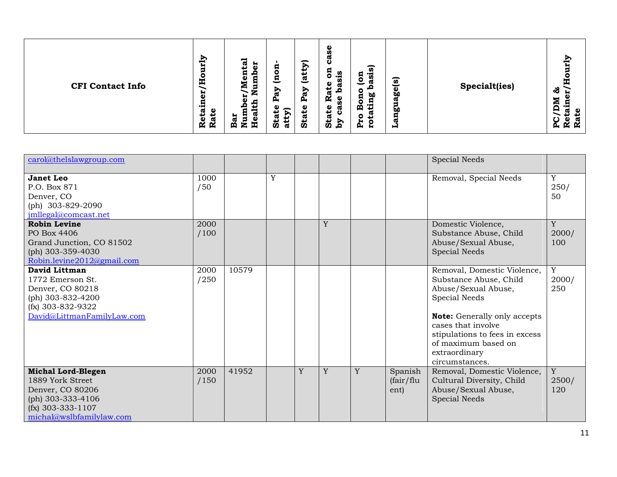| <b>CFI Contact Info</b> | ξh<br>ನ<br>н<br>ω<br>پ<br>п<br>ο<br>E<br>Ż<br>븂<br>∽<br>r.<br>9<br>ၿ<br>с<br>σ<br>÷<br>Bar<br>Nun<br>Hea<br>ö<br>ದ<br><b>R</b><br>Ř | ω<br>Ŵ,<br>ω<br>ల<br>-<br>n<br>且<br>5<br>٥<br>n<br>. .<br><u>್ರ</u><br>트<br>ω<br>ω<br>↩<br>⋗<br>⋗<br>-<br>ø<br>ದ<br>ዺ<br>R<br>Φ<br>д<br>ω<br>Φ<br>ω<br>atty)<br>پ<br>پ<br>ပ<br>Sta<br>Sta<br><b>Sta</b><br>Σđ | ัด<br>ි<br>ัด<br>ō۵<br>ೲ<br>$\bullet$<br>ന<br><b>bo</b><br>с<br>р,<br>₩<br>⊣ | <b>Specialt(ies)</b> | ಸೆ<br>. .<br>е<br>C<br>ω<br>ĸ<br>$\mathbf{K}$<br>$\mathbf{p}$ |
|-------------------------|-------------------------------------------------------------------------------------------------------------------------------------|---------------------------------------------------------------------------------------------------------------------------------------------------------------------------------------------------------------|------------------------------------------------------------------------------|----------------------|---------------------------------------------------------------|
|-------------------------|-------------------------------------------------------------------------------------------------------------------------------------|---------------------------------------------------------------------------------------------------------------------------------------------------------------------------------------------------------------|------------------------------------------------------------------------------|----------------------|---------------------------------------------------------------|

| carol@thelslawgroup.com                                                                                                                   |              |       |   |   |   |   |                              | <b>Special Needs</b>                                                                                                                                                                                                                                   |                   |
|-------------------------------------------------------------------------------------------------------------------------------------------|--------------|-------|---|---|---|---|------------------------------|--------------------------------------------------------------------------------------------------------------------------------------------------------------------------------------------------------------------------------------------------------|-------------------|
| <b>Janet Leo</b><br>P.O. Box 871<br>Denver, CO<br>(ph) 303-829-2090<br>jmllegal@comcast.net                                               | 1000<br>/50  |       | Y |   |   |   |                              | Removal, Special Needs                                                                                                                                                                                                                                 | Y<br>250/<br>50   |
| <b>Robin Levine</b><br>PO Box 4406<br>Grand Junction, CO 81502<br>(ph) $303 - 359 - 4030$<br>Robin.levine2012@gmail.com                   | 2000<br>/100 |       |   |   | Y |   |                              | Domestic Violence,<br>Substance Abuse, Child<br>Abuse/Sexual Abuse,<br><b>Special Needs</b>                                                                                                                                                            | Y<br>2000/<br>100 |
| David Littman<br>1772 Emerson St.<br>Denver, CO 80218<br>(ph) 303-832-4200<br>(fx) 303-832-9322<br>David@LittmanFamilyLaw.com             | 2000<br>/250 | 10579 |   |   |   |   |                              | Removal, Domestic Violence,<br>Substance Abuse, Child<br>Abuse/Sexual Abuse,<br>Special Needs<br><b>Note:</b> Generally only accepts<br>cases that involve<br>stipulations to fees in excess<br>of maximum based on<br>extraordinary<br>circumstances. | Y<br>2000/<br>250 |
| <b>Michal Lord-Blegen</b><br>1889 York Street<br>Denver, CO 80206<br>(ph) 303-333-4106<br>$(fx)$ 303-333-1107<br>michal@wslbfamilylaw.com | 2000<br>/150 | 41952 |   | Y | Y | Y | Spanish<br>(fair/flu<br>ent) | Removal, Domestic Violence,<br>Cultural Diversity, Child<br>Abuse/Sexual Abuse,<br>Special Needs                                                                                                                                                       | Y<br>2500/<br>120 |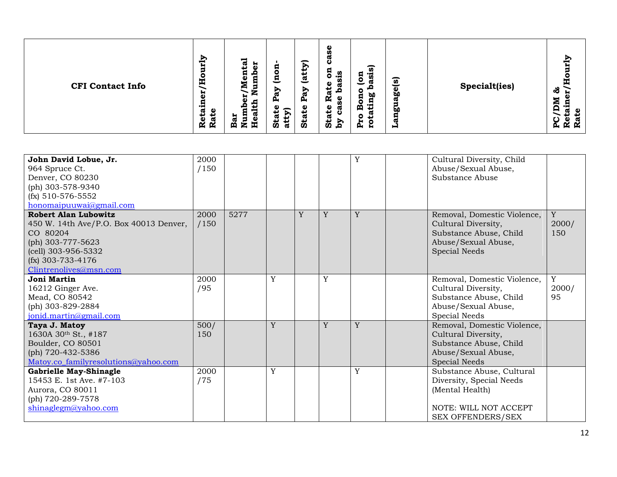| John David Lobue, Jr.<br>964 Spruce Ct.<br>Denver, CO 80230<br>(ph) 303-578-9340<br>$(fx)$ 510-576-5552<br>honomaipuuwai@gmail.com                                                                   | 2000<br>/150 |      |   |   |   | Y | Cultural Diversity, Child<br>Abuse/Sexual Abuse,<br>Substance Abuse                                                           |                             |
|------------------------------------------------------------------------------------------------------------------------------------------------------------------------------------------------------|--------------|------|---|---|---|---|-------------------------------------------------------------------------------------------------------------------------------|-----------------------------|
| <b>Robert Alan Lubowitz</b><br>450 W. 14th Ave/P.O. Box 40013 Denver,<br>CO 80204<br>(ph) 303-777-5623<br>$\left( \text{cell} \right)$ 303-956-5332<br>$(fx)$ 303-733-4176<br>Clintrenolives@msn.com | 2000<br>/150 | 5277 |   | Y | Y | Y | Removal, Domestic Violence,<br>Cultural Diversity,<br>Substance Abuse, Child<br>Abuse/Sexual Abuse,<br>Special Needs          | $\mathbf Y$<br>2000/<br>150 |
| Joni Martin<br>16212 Ginger Ave.<br>Mead, CO 80542<br>(ph) 303-829-2884<br>jonid.martin@gmail.com                                                                                                    | 2000<br>/95  |      | Y |   | Y |   | Removal, Domestic Violence,<br>Cultural Diversity,<br>Substance Abuse, Child<br>Abuse/Sexual Abuse,<br>Special Needs          | $\mathbf Y$<br>2000/<br>95  |
| Taya J. Matoy<br>1630A 30th St., #187<br>Boulder, CO 80501<br>(ph) 720-432-5386<br>Matoy.co_familyresolutions@yahoo.com                                                                              | 500/<br>150  |      | Y |   | Y | Y | Removal, Domestic Violence,<br>Cultural Diversity,<br>Substance Abuse, Child<br>Abuse/Sexual Abuse,<br><b>Special Needs</b>   |                             |
| Gabrielle May-Shinagle<br>15453 E. 1st Ave. #7-103<br>Aurora, CO 80011<br>(ph) 720-289-7578<br>shinaglegm@yahoo.com                                                                                  | 2000<br>/75  |      | Y |   |   | Y | Substance Abuse, Cultural<br>Diversity, Special Needs<br>(Mental Health)<br>NOTE: WILL NOT ACCEPT<br><b>SEX OFFENDERS/SEX</b> |                             |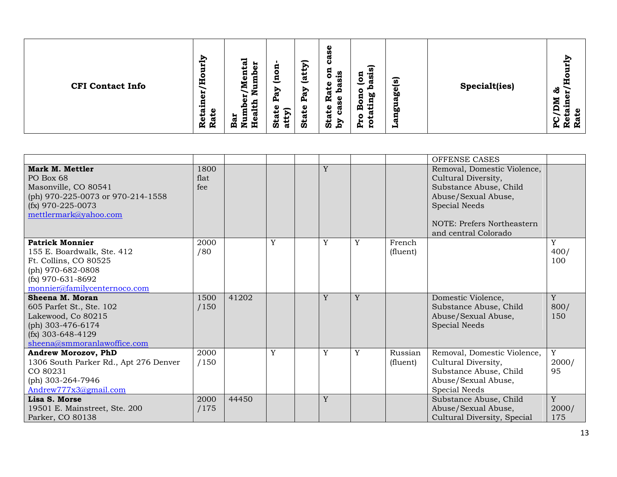|                                                                                                                                                           |                     |       |   |   |   |                     | OFFENSE CASES                                                                                                                                                                     |                   |
|-----------------------------------------------------------------------------------------------------------------------------------------------------------|---------------------|-------|---|---|---|---------------------|-----------------------------------------------------------------------------------------------------------------------------------------------------------------------------------|-------------------|
| Mark M. Mettler<br>PO Box 68<br>Masonville, CO 80541<br>(ph) 970-225-0073 or 970-214-1558<br>$(fx)$ 970-225-0073<br>mettlermark@yahoo.com                 | 1800<br>flat<br>fee |       |   | Y |   |                     | Removal, Domestic Violence,<br>Cultural Diversity,<br>Substance Abuse, Child<br>Abuse/Sexual Abuse,<br><b>Special Needs</b><br>NOTE: Prefers Northeastern<br>and central Colorado |                   |
| <b>Patrick Monnier</b><br>155 E. Boardwalk, Ste. 412<br>Ft. Collins, CO 80525<br>(ph) 970-682-0808<br>$(fx)$ 970-631-8692<br>monnier@familycenternoco.com | 2000<br>/80         |       | Y | Y | Y | French<br>(fluent)  |                                                                                                                                                                                   | Y<br>400/<br>100  |
| Sheena M. Moran<br>605 Parfet St., Ste. 102<br>Lakewood, Co 80215<br>(ph) 303-476-6174<br>$(fx)$ 303-648-4129<br>sheena@smmoranlawoffice.com              | 1500<br>/150        | 41202 |   | Y | Y |                     | Domestic Violence,<br>Substance Abuse, Child<br>Abuse/Sexual Abuse,<br><b>Special Needs</b>                                                                                       | Y<br>800/<br>150  |
| Andrew Morozov, PhD<br>1306 South Parker Rd., Apt 276 Denver<br>CO 80231<br>(ph) $303-264-7946$<br>Andrew777x3@gmail.com                                  | 2000<br>/150        |       | Y | Y | Y | Russian<br>(fluent) | Removal, Domestic Violence,<br>Cultural Diversity,<br>Substance Abuse, Child<br>Abuse/Sexual Abuse,<br>Special Needs                                                              | Y<br>2000/<br>95  |
| Lisa S. Morse<br>19501 E. Mainstreet, Ste. 200<br>Parker, CO 80138                                                                                        | 2000<br>/175        | 44450 |   | Y |   |                     | Substance Abuse, Child<br>Abuse/Sexual Abuse,<br>Cultural Diversity, Special                                                                                                      | Y<br>2000/<br>175 |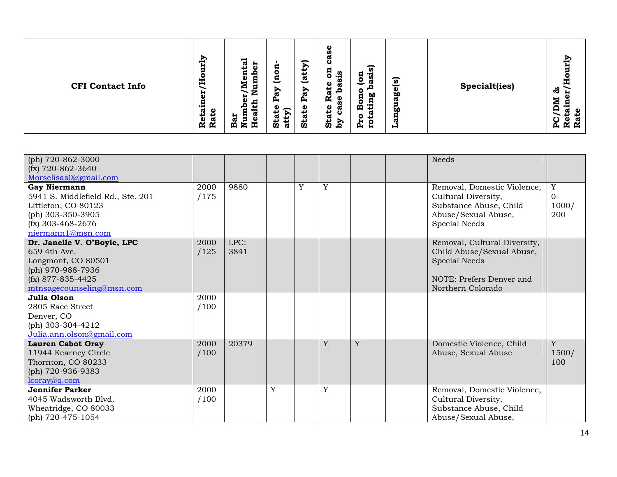| <b>CFI Contact Info</b> | ξĻ<br>ನ<br>ъ.<br>ω<br>پ<br>п<br>Г<br>o<br>ω<br>с<br>Ě<br>Ż<br>-<br>-5<br>ដ<br>z<br>9<br>ల<br>с<br>ω<br>Bar<br>Nun<br>ö<br>پ<br>ω<br>ω<br>ℼ<br>Ñ<br>Ř<br>軎 | ω<br>n<br>ω<br>ల<br>↽<br>g<br>R<br>g<br>n<br>ட<br><u>ಡ</u><br>트<br>Φ<br>ω<br>↩<br>Ð<br>⋗<br>ದ<br>∞<br>ω<br>Ñ<br>$\mathbf{a}$<br>٥<br>д,<br>æ<br>ω<br>Φ<br>σ<br>$\mathbf{P}$<br>₩<br><b>Stat</b><br><b>Stat</b><br>Sta<br>Σđ<br>ੱਛ | $\overline{a}$<br>۰۳<br>Ŵ<br>ัด<br>$\bullet$<br>ä<br>ω<br>Ō.<br><b>b0</b><br>ω<br>г<br>۰۳<br>ρ<br>پ<br>άO<br>w<br>o<br>р,<br>н<br>н | <b>Specialt(ies)</b> | ξĻ<br>යි<br>۰<br>╒<br>ω<br>ᢍ<br>ĸ<br>ĸ<br>А, |
|-------------------------|-----------------------------------------------------------------------------------------------------------------------------------------------------------|-----------------------------------------------------------------------------------------------------------------------------------------------------------------------------------------------------------------------------------|-------------------------------------------------------------------------------------------------------------------------------------|----------------------|----------------------------------------------|
|-------------------------|-----------------------------------------------------------------------------------------------------------------------------------------------------------|-----------------------------------------------------------------------------------------------------------------------------------------------------------------------------------------------------------------------------------|-------------------------------------------------------------------------------------------------------------------------------------|----------------------|----------------------------------------------|

| (ph) $720 - 862 - 3000$<br>$(fx)$ 720-862-3640                                                                                                                |              |              |   |   |   |   | <b>Needs</b>                                                                                                                |                           |
|---------------------------------------------------------------------------------------------------------------------------------------------------------------|--------------|--------------|---|---|---|---|-----------------------------------------------------------------------------------------------------------------------------|---------------------------|
| Morselisas0@gmail.com<br><b>Gay Niermann</b><br>5941 S. Middlefield Rd., Ste. 201<br>Littleton, CO 80123<br>(ph) 303-350-3905<br>$(fx)$ 303-468-2676          | 2000<br>/175 | 9880         |   | Y | Y |   | Removal, Domestic Violence,<br>Cultural Diversity,<br>Substance Abuse, Child<br>Abuse/Sexual Abuse,<br>Special Needs        | Y<br>$O-$<br>1000/<br>200 |
| niermann1@msn.com<br>Dr. Janelle V. O'Boyle, LPC<br>659 4th Ave.<br>Longmont, CO 80501<br>(ph) 970-988-7936<br>(fx) 877-835-4425<br>mtnsagecounseling@msn.com | 2000<br>/125 | LPC:<br>3841 |   |   |   |   | Removal, Cultural Diversity,<br>Child Abuse/Sexual Abuse,<br>Special Needs<br>NOTE: Prefers Denver and<br>Northern Colorado |                           |
| Julia Olson<br>2805 Race Street<br>Denver, CO<br>(ph) $303-304-4212$<br>Julia.ann.olson@gmail.com                                                             | 2000<br>/100 |              |   |   |   |   |                                                                                                                             |                           |
| <b>Lauren Cabot Oray</b><br>11944 Kearney Circle<br>Thornton, CO 80233<br>(ph) 720-936-9383<br>lcoray@q.com                                                   | 2000<br>/100 | 20379        |   |   | Y | Y | Domestic Violence, Child<br>Abuse, Sexual Abuse                                                                             | Y<br>1500/<br>100         |
| <b>Jennifer Parker</b><br>4045 Wadsworth Blyd.<br>Wheatridge, CO 80033<br>(ph) 720-475-1054                                                                   | 2000<br>/100 |              | Y |   | Y |   | Removal, Domestic Violence,<br>Cultural Diversity,<br>Substance Abuse, Child<br>Abuse/Sexual Abuse,                         |                           |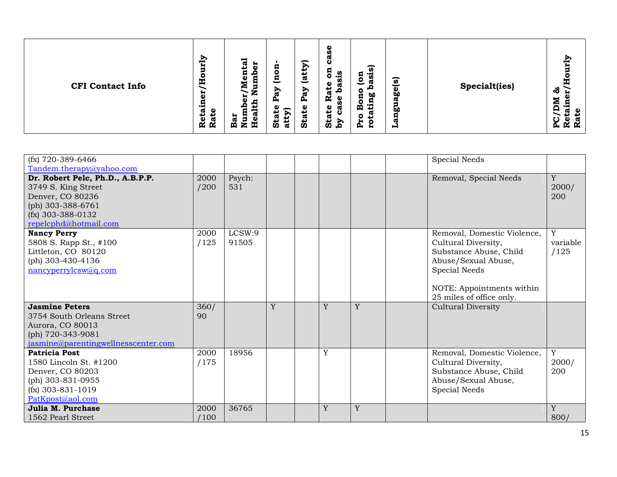| E<br><b>CFI Contact Info</b><br>Ř | ξĻ<br>ನ<br>÷.<br>Я<br>ω<br>پ<br>o<br>п<br>o<br>o<br>트<br>ω<br>c<br>Ź<br>-<br>-<br>Ð<br>븂<br>z<br>ω<br>д,<br>ω<br>e<br>₽<br>ഁ<br>ω<br>с<br>Bar<br>Nun<br>έ<br>↵<br>ω<br>Sta <sup>®</sup><br>ω<br>ದ<br>. .<br>R<br>再 | ω<br>n<br>σ<br>ల<br>∽<br>B<br>ัด<br>5<br>n<br>. .<br>ិន<br>ស<br>$\overline{\mathbf{a}}$<br>ಕೆ<br>π<br>⊵<br>o<br>ದ<br><b>b0</b><br><u>ፎ</u><br>Ñ<br>ပ္တ<br>Φ<br>ρ<br>ω<br><b>State</b><br>σ<br>Ð<br>↵<br>ပ<br>Sta<br>Σđ<br>ੱਛ<br>O<br>р,<br>₩ | ัด<br><b>Specialt(ies)</b><br>စ္လွ<br>ᢍ<br><b>bo</b><br>w<br>н | т<br>ಸೆ<br>. .<br>e<br>_<br>ပ္က<br>ω<br>ĸ<br>$\mathbf{r}$ |
|-----------------------------------|--------------------------------------------------------------------------------------------------------------------------------------------------------------------------------------------------------------------|----------------------------------------------------------------------------------------------------------------------------------------------------------------------------------------------------------------------------------------------|----------------------------------------------------------------|-----------------------------------------------------------|
|-----------------------------------|--------------------------------------------------------------------------------------------------------------------------------------------------------------------------------------------------------------------|----------------------------------------------------------------------------------------------------------------------------------------------------------------------------------------------------------------------------------------------|----------------------------------------------------------------|-----------------------------------------------------------|

| $(fx)$ 720-389-6466                                                                                                                              |              |                 |   |   |   | Special Needs                                                                                                                                                                 |                       |
|--------------------------------------------------------------------------------------------------------------------------------------------------|--------------|-----------------|---|---|---|-------------------------------------------------------------------------------------------------------------------------------------------------------------------------------|-----------------------|
| Tandem.therapy@yahoo.com                                                                                                                         |              |                 |   |   |   |                                                                                                                                                                               |                       |
| Dr. Robert Pelc, Ph.D., A.B.P.P.<br>3749 S. King Street<br>Denver, CO 80236<br>(ph) 303-388-6761<br>$(fx)$ 303-388-0132<br>repelcphd@hotmail.com | 2000<br>/200 | Psych:<br>531   |   |   |   | Removal, Special Needs                                                                                                                                                        | Y<br>2000/<br>200     |
| <b>Nancy Perry</b><br>5808 S. Rapp St., #100<br>Littleton, CO 80120<br>(ph) 303-430-4136<br>nancyperrylcsw@q.com                                 | 2000<br>/125 | LCSW:9<br>91505 |   |   |   | Removal, Domestic Violence,<br>Cultural Diversity,<br>Substance Abuse, Child<br>Abuse/Sexual Abuse,<br>Special Needs<br>NOTE: Appointments within<br>25 miles of office only. | Y<br>variable<br>/125 |
| <b>Jasmine Peters</b><br>3754 South Orleans Street<br>Aurora, CO 80013<br>(ph) 720-343-9081<br>jasmine@parentingwellnesscenter.com               | 360/<br>90   |                 | Y | Y | Y | <b>Cultural Diversity</b>                                                                                                                                                     |                       |
| Patricia Post<br>1580 Lincoln St. #1200<br>Denver, CO 80203<br>(ph) 303-831-0955<br>$(fx)$ 303-831-1019<br>PatKpost@aol.com                      | 2000<br>/175 | 18956           |   | Y |   | Removal, Domestic Violence,<br>Cultural Diversity,<br>Substance Abuse, Child<br>Abuse/Sexual Abuse,<br>Special Needs                                                          | Y<br>2000/<br>200     |
| Julia M. Purchase<br>1562 Pearl Street                                                                                                           | 2000<br>100  | 36765           |   | Y | Y |                                                                                                                                                                               | Y<br>800/             |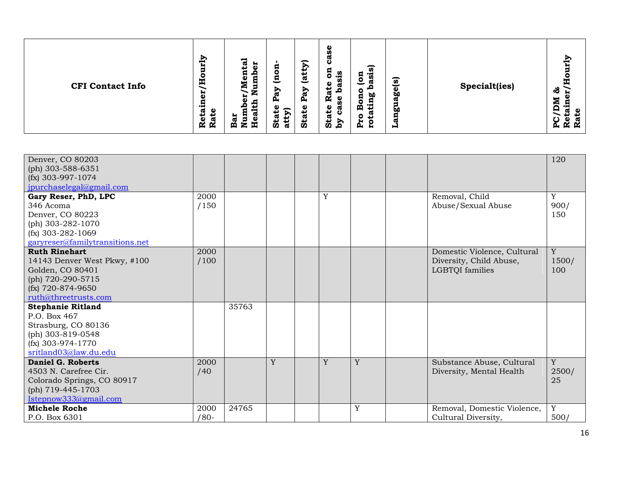| Denver, CO 80203                         |      |       |   |   |   |                             | 120         |
|------------------------------------------|------|-------|---|---|---|-----------------------------|-------------|
| (ph) 303-588-6351<br>$(fx)$ 303-997-1074 |      |       |   |   |   |                             |             |
| jpurchaselegal@gmail.com                 |      |       |   |   |   |                             |             |
| Gary Reser, PhD, LPC                     | 2000 |       |   | Y |   | Removal, Child              | $\mathbf Y$ |
| 346 Acoma                                | /150 |       |   |   |   | Abuse/Sexual Abuse          | 900/        |
| Denver, CO 80223                         |      |       |   |   |   |                             | 150         |
| (ph) 303-282-1070                        |      |       |   |   |   |                             |             |
| $(fx)$ 303-282-1069                      |      |       |   |   |   |                             |             |
| garyreser@familytransitions.net          |      |       |   |   |   |                             |             |
| <b>Ruth Rinehart</b>                     | 2000 |       |   |   |   | Domestic Violence, Cultural | Y           |
| 14143 Denver West Pkwy, #100             | /100 |       |   |   |   | Diversity, Child Abuse,     | 1500/       |
| Golden, CO 80401                         |      |       |   |   |   | LGBTQI families             | 100         |
| (ph) 720-290-5715                        |      |       |   |   |   |                             |             |
| $(fx)$ 720-874-9650                      |      |       |   |   |   |                             |             |
| ruth@threetrusts.com                     |      |       |   |   |   |                             |             |
| <b>Stephanie Ritland</b><br>P.O. Box 467 |      | 35763 |   |   |   |                             |             |
| Strasburg, CO 80136                      |      |       |   |   |   |                             |             |
| (ph) 303-819-0548                        |      |       |   |   |   |                             |             |
| $(fx)$ 303-974-1770                      |      |       |   |   |   |                             |             |
| sritland03@law.du.edu                    |      |       |   |   |   |                             |             |
| Daniel G. Roberts                        | 2000 |       | Y | Y | Y | Substance Abuse, Cultural   | Y           |
| 4503 N. Carefree Cir.                    | /40  |       |   |   |   | Diversity, Mental Health    | 2500/       |
| Colorado Springs, CO 80917               |      |       |   |   |   |                             | 25          |
| (ph) 719-445-1703                        |      |       |   |   |   |                             |             |
| Istepnow333@gmail.com                    |      |       |   |   |   |                             |             |
| <b>Michele Roche</b>                     | 2000 | 24765 |   |   | Y | Removal, Domestic Violence, | Y           |
| P.O. Box 6301                            | /80- |       |   |   |   | Cultural Diversity,         | 500/        |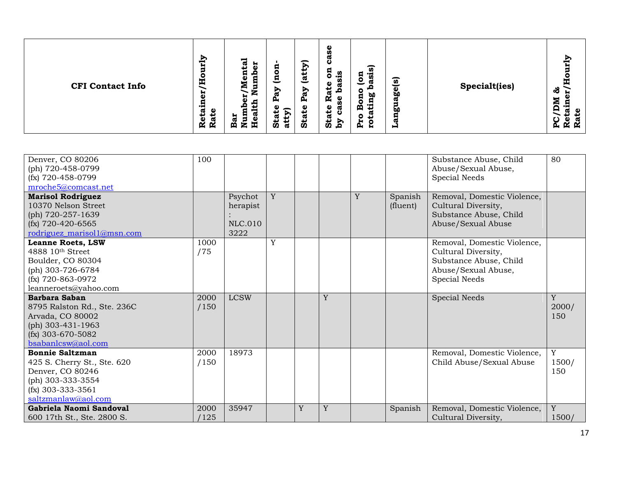| ξĻ<br>o<br>E<br><b>CFI Contact Info</b><br>븂<br>ω<br>ω<br>ىد<br>↵<br>$\mathbf 0$<br>π<br>R<br>Ř | ನ<br>н<br>Я<br>نة<br>ت<br>o<br>п<br>-<br>트<br>ω<br>с<br>-<br>É<br>∍<br>Ð<br>ı<br>ᢍ<br>д,<br>o<br>atty)<br>ω<br>ಡ<br>-<br>Bar<br>Ē,<br>ö<br><u>д</u> | ω<br>n<br>σ<br>ة<br>∽<br>$\overline{a}$<br>5<br>n<br>ಿದೆ<br><u>್ರ</u><br>ัด<br>ä<br>Φ<br>w<br>↩<br><b>go</b><br>⊵<br>-<br>ದ<br><b>b0</b><br><u>ፎ</u><br>Ñ<br>ω<br>œ<br>Φ<br>മ<br><b>State</b><br>ω<br>σ<br>ŌΟ<br>ப<br>ပ<br>Stat<br>Σđ<br>w<br>c<br>д,<br>н<br>н | č<br>π<br>Specialt(ies)<br>ಹೆ<br>≂<br>Բ<br>o<br>ပ္က<br>ĸ<br><b>K</b> |
|-------------------------------------------------------------------------------------------------|-----------------------------------------------------------------------------------------------------------------------------------------------------|-----------------------------------------------------------------------------------------------------------------------------------------------------------------------------------------------------------------------------------------------------------------|----------------------------------------------------------------------|
|-------------------------------------------------------------------------------------------------|-----------------------------------------------------------------------------------------------------------------------------------------------------|-----------------------------------------------------------------------------------------------------------------------------------------------------------------------------------------------------------------------------------------------------------------|----------------------------------------------------------------------|

| Denver, CO 80206<br>(ph) 720-458-0799<br>$(fx)$ 720-458-0799<br>mroche5@comcast.net                                                                  | 100          |                                               |   |   |   |   |                     | Substance Abuse, Child<br>Abuse/Sexual Abuse,<br>Special Needs                                                       | 80                   |
|------------------------------------------------------------------------------------------------------------------------------------------------------|--------------|-----------------------------------------------|---|---|---|---|---------------------|----------------------------------------------------------------------------------------------------------------------|----------------------|
| <b>Marisol Rodriguez</b><br>10370 Nelson Street<br>(ph) 720-257-1639<br>$(fx)$ 720-420-6565<br>rodriguez_marisol1@msn.com                            |              | Psychot<br>herapist<br><b>NLC.010</b><br>3222 | Y |   |   | Y | Spanish<br>(fluent) | Removal, Domestic Violence,<br>Cultural Diversity,<br>Substance Abuse, Child<br>Abuse/Sexual Abuse                   |                      |
| <b>Leanne Roets, LSW</b><br>$4888$ 10 <sup>th</sup> Street<br>Boulder, CO 80304<br>(ph) 303-726-6784<br>$(fx)$ 720-863-0972<br>leanneroets@yahoo.com | 1000<br>/75  |                                               | Y |   |   |   |                     | Removal, Domestic Violence,<br>Cultural Diversity,<br>Substance Abuse, Child<br>Abuse/Sexual Abuse,<br>Special Needs |                      |
| Barbara Saban<br>8795 Ralston Rd., Ste. 236C<br>Arvada, CO 80002<br>(ph) 303-431-1963<br>$(fx)$ 303-670-5082<br>bsabanlcsw@aol.com                   | 2000<br>/150 | <b>LCSW</b>                                   |   |   | Y |   |                     | <b>Special Needs</b>                                                                                                 | Y<br>2000/<br>150    |
| <b>Bonnie Saltzman</b><br>425 S. Cherry St., Ste. 620<br>Denver, CO 80246<br>(ph) 303-333-3554<br>$(fx)$ 303-333-3561<br>saltzmanlaw@aol.com         | 2000<br>/150 | 18973                                         |   |   |   |   |                     | Removal, Domestic Violence,<br>Child Abuse/Sexual Abuse                                                              | Y<br>1500/<br>150    |
| Gabriela Naomi Sandoval<br>600 17th St., Ste. 2800 S.                                                                                                | 2000<br>125  | 35947                                         |   | Y | Y |   | Spanish             | Removal, Domestic Violence,<br>Cultural Diversity,                                                                   | $\mathbf Y$<br>1500/ |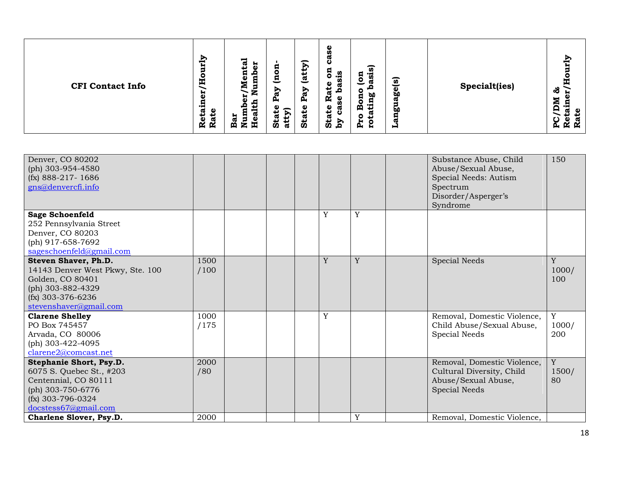| Denver, CO 80202<br>(ph) 303-954-4580<br>$(fx)$ 888-217-1686<br>gns@denvercfi.info                                                                                         |                     |  |   |   | Substance Abuse, Child<br>Abuse/Sexual Abuse,<br>Special Needs: Autism<br>Spectrum<br>Disorder/Asperger's<br>Syndrome           | 150               |
|----------------------------------------------------------------------------------------------------------------------------------------------------------------------------|---------------------|--|---|---|---------------------------------------------------------------------------------------------------------------------------------|-------------------|
| <b>Sage Schoenfeld</b><br>252 Pennsylvania Street<br>Denver, CO 80203<br>(ph) 917-658-7692<br>sageschoenfeld@gmail.com                                                     |                     |  | Y | Y |                                                                                                                                 |                   |
| Steven Shaver, Ph.D.<br>14143 Denver West Pkwy, Ste. 100<br>Golden, CO 80401<br>(ph) 303-882-4329<br>$(fx)$ 303-376-6236<br>stevenshaver@gmail.com                         | 1500<br>/100        |  | Y | Y | <b>Special Needs</b>                                                                                                            | Y<br>1000/<br>100 |
| <b>Clarene Shelley</b><br>PO Box 745457<br>Arvada, CO 80006<br>(ph) 303-422-4095<br>clarene2@comcast.net                                                                   | 1000<br>/175        |  | Y |   | Removal, Domestic Violence,<br>Child Abuse/Sexual Abuse,<br>Special Needs                                                       | Y<br>1000/<br>200 |
| Stephanie Short, Psy.D.<br>6075 S. Quebec St., #203<br>Centennial, CO 80111<br>(ph) 303-750-6776<br>$(fx)$ 303-796-0324<br>docstess67@gmail.com<br>Charlene Slover, Psy.D. | 2000<br>/80<br>2000 |  |   | Y | Removal, Domestic Violence,<br>Cultural Diversity, Child<br>Abuse/Sexual Abuse,<br>Special Needs<br>Removal, Domestic Violence, | Y<br>1500/<br>80  |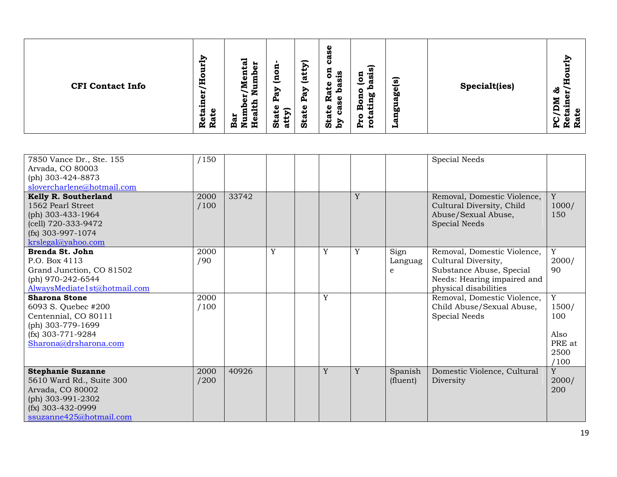| 7850 Vance Dr., Ste. 155<br>Arvada, CO 80003<br>(ph) 303-424-8873<br>slovercharlene@hotmail.com                                                 | /150         |       |   |   |   |                      | Special Needs                                                                                                                          |                                                     |
|-------------------------------------------------------------------------------------------------------------------------------------------------|--------------|-------|---|---|---|----------------------|----------------------------------------------------------------------------------------------------------------------------------------|-----------------------------------------------------|
| Kelly R. Southerland<br>1562 Pearl Street<br>(ph) 303-433-1964<br>(cell) 720-333-9472<br>$(fx)$ 303-997-1074<br>krslegal@yahoo.com              | 2000<br>/100 | 33742 |   |   | Y |                      | Removal, Domestic Violence,<br>Cultural Diversity, Child<br>Abuse/Sexual Abuse,<br>Special Needs                                       | Y<br>1000/<br>150                                   |
| Brenda St. John<br>P.O. Box 4113<br>Grand Junction, CO 81502<br>(ph) 970-242-6544<br>AlwaysMediate1st@hotmail.com                               | 2000<br>/90  |       | Y | Y | Y | Sign<br>Languag<br>e | Removal, Domestic Violence,<br>Cultural Diversity,<br>Substance Abuse, Special<br>Needs: Hearing impaired and<br>physical disabilities | Y<br>2000/<br>90                                    |
| <b>Sharona Stone</b><br>6093 S. Quebec #200<br>Centennial, CO 80111<br>(ph) 303-779-1699<br>$(fx)$ 303-771-9284<br>Sharona@drsharona.com        | 2000<br>/100 |       |   | Y |   |                      | Removal, Domestic Violence,<br>Child Abuse/Sexual Abuse,<br>Special Needs                                                              | Y<br>1500/<br>100<br>Also<br>PRE at<br>2500<br>/100 |
| <b>Stephanie Suzanne</b><br>5610 Ward Rd., Suite 300<br>Arvada, CO 80002<br>(ph) 303-991-2302<br>$(fx)$ 303-432-0999<br>ssuzanne425@hotmail.com | 2000<br>/200 | 40926 |   | Y | Y | Spanish<br>(fluent)  | Domestic Violence, Cultural<br>Diversity                                                                                               | Y<br>2000/<br>200                                   |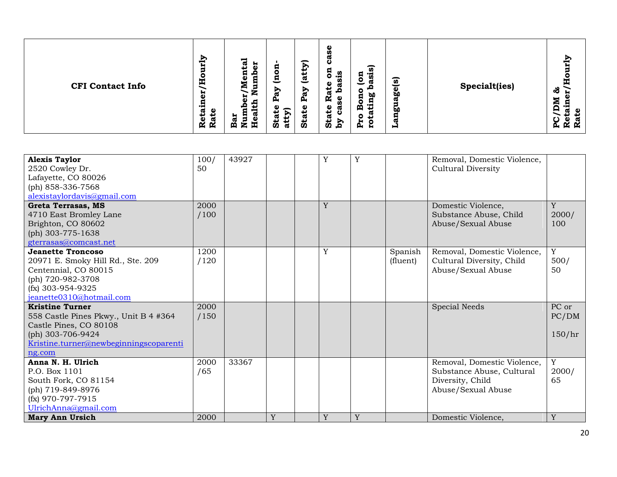| <b>Alexis Taylor</b><br>2520 Cowley Dr.<br>Lafayette, CO 80026<br>(ph) 858-336-7568<br>alexistaylordavis@gmail.com                                                 | 100/<br>50   | 43927 |   | Y | Y |                     | Removal, Domestic Violence,<br>Cultural Diversity                                                  |                            |
|--------------------------------------------------------------------------------------------------------------------------------------------------------------------|--------------|-------|---|---|---|---------------------|----------------------------------------------------------------------------------------------------|----------------------------|
| Greta Terrasas, MS<br>4710 East Bromley Lane<br>Brighton, CO 80602<br>(ph) 303-775-1638<br>gterrasas@comcast.net                                                   | 2000<br>/100 |       |   | Y |   |                     | Domestic Violence,<br>Substance Abuse, Child<br>Abuse/Sexual Abuse                                 | Y<br>2000/<br>100          |
| <b>Jeanette Troncoso</b><br>20971 E. Smoky Hill Rd., Ste. 209<br>Centennial, CO 80015<br>(ph) 720-982-3708<br>$(fx)$ 303-954-9325<br>jeanette0310@hotmail.com      | 1200<br>/120 |       |   | Y |   | Spanish<br>(fluent) | Removal, Domestic Violence,<br>Cultural Diversity, Child<br>Abuse/Sexual Abuse                     | Y<br>500/<br>50            |
| <b>Kristine Turner</b><br>558 Castle Pines Pkwy., Unit B 4 #364<br>Castle Pines, CO 80108<br>(ph) 303-706-9424<br>Kristine.turner@newbeginningscoparenti<br>ng.com | 2000<br>/150 |       |   |   |   |                     | <b>Special Needs</b>                                                                               | PC or<br>PC/DM<br>150/hr   |
| Anna N. H. Ulrich<br>P.O. Box 1101<br>South Fork, CO 81154<br>(ph) 719-849-8976<br>$(fx)$ 970-797-7915<br>UlrichAnna@gmail.com                                     | 2000<br>/65  | 33367 |   |   |   |                     | Removal, Domestic Violence,<br>Substance Abuse, Cultural<br>Diversity, Child<br>Abuse/Sexual Abuse | $\mathbf Y$<br>2000/<br>65 |
| <b>Mary Ann Ursich</b>                                                                                                                                             | 2000         |       | Y | Y | Y |                     | Domestic Violence,                                                                                 | Y                          |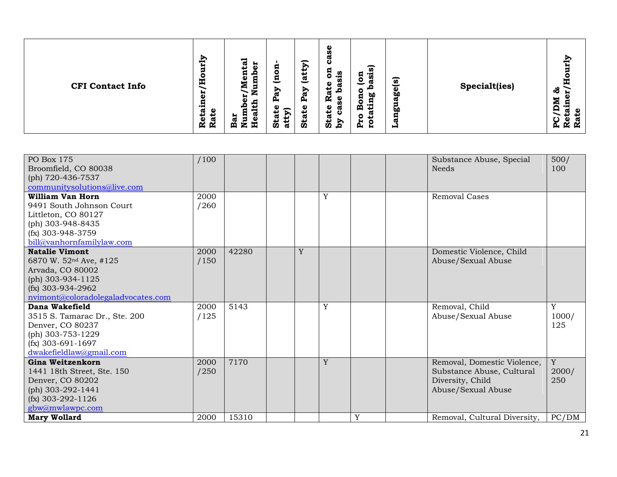| PO Box 175                         | /100 |       |   |   |   | Substance Abuse, Special     | 500/        |
|------------------------------------|------|-------|---|---|---|------------------------------|-------------|
| Broomfield, CO 80038               |      |       |   |   |   | <b>Needs</b>                 | 100         |
| (ph) 720-436-7537                  |      |       |   |   |   |                              |             |
| communitysolutions@live.com        |      |       |   |   |   |                              |             |
| William Van Horn                   | 2000 |       |   | Y |   | <b>Removal Cases</b>         |             |
| 9491 South Johnson Court           | /260 |       |   |   |   |                              |             |
| Littleton, CO 80127                |      |       |   |   |   |                              |             |
| (ph) 303-948-8435                  |      |       |   |   |   |                              |             |
| $(fx)$ 303-948-3759                |      |       |   |   |   |                              |             |
| bill@vanhornfamilylaw.com          |      |       |   |   |   |                              |             |
| <b>Natalie Vimont</b>              | 2000 | 42280 | Y |   |   | Domestic Violence, Child     |             |
| 6870 W. 52 <sup>nd</sup> Ave, #125 | /150 |       |   |   |   | Abuse/Sexual Abuse           |             |
| Arvada, CO 80002                   |      |       |   |   |   |                              |             |
| (ph) 303-934-1125                  |      |       |   |   |   |                              |             |
| $(fx)$ 303-934-2962                |      |       |   |   |   |                              |             |
| nvimont@coloradolegaladvocates.com |      |       |   |   |   |                              |             |
| Dana Wakefield                     | 2000 | 5143  |   | Y |   | Removal, Child               | Y           |
| 3515 S. Tamarac Dr., Ste. 200      | /125 |       |   |   |   | Abuse/Sexual Abuse           | 1000/       |
| Denver, CO 80237                   |      |       |   |   |   |                              | 125         |
| (ph) 303-753-1229                  |      |       |   |   |   |                              |             |
| $(fx)$ 303-691-1697                |      |       |   |   |   |                              |             |
| dwakefieldlaw@gmail.com            |      |       |   |   |   |                              |             |
| Gina Weitzenkorn                   | 2000 | 7170  |   | Y |   | Removal, Domestic Violence,  | $\mathbf Y$ |
| 1441 18th Street, Ste. 150         | /250 |       |   |   |   | Substance Abuse, Cultural    | 2000/       |
| Denver, CO 80202                   |      |       |   |   |   | Diversity, Child             | 250         |
| (ph) 303-292-1441                  |      |       |   |   |   | Abuse/Sexual Abuse           |             |
| $(fx)$ 303-292-1126                |      |       |   |   |   |                              |             |
| gbw@mwlawpc.com                    |      |       |   |   |   |                              |             |
| <b>Mary Wollard</b>                | 2000 | 15310 |   |   | Y | Removal, Cultural Diversity, | PC/DM       |